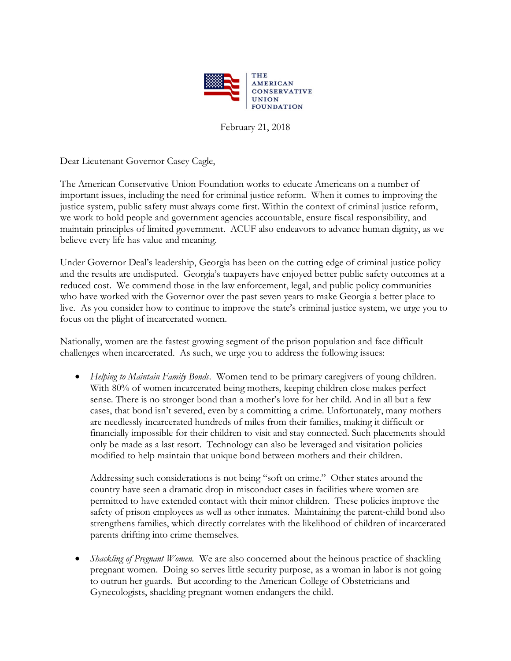

February 21, 2018

Dear Lieutenant Governor Casey Cagle,

The American Conservative Union Foundation works to educate Americans on a number of important issues, including the need for criminal justice reform. When it comes to improving the justice system, public safety must always come first. Within the context of criminal justice reform, we work to hold people and government agencies accountable, ensure fiscal responsibility, and maintain principles of limited government. ACUF also endeavors to advance human dignity, as we believe every life has value and meaning.

Under Governor Deal's leadership, Georgia has been on the cutting edge of criminal justice policy and the results are undisputed. Georgia's taxpayers have enjoyed better public safety outcomes at a reduced cost. We commend those in the law enforcement, legal, and public policy communities who have worked with the Governor over the past seven years to make Georgia a better place to live. As you consider how to continue to improve the state's criminal justice system, we urge you to focus on the plight of incarcerated women.

Nationally, women are the fastest growing segment of the prison population and face difficult challenges when incarcerated. As such, we urge you to address the following issues:

• *Helping to Maintain Family Bonds*. Women tend to be primary caregivers of young children. With 80% of women incarcerated being mothers, keeping children close makes perfect sense. There is no stronger bond than a mother's love for her child. And in all but a few cases, that bond isn't severed, even by a committing a crime. Unfortunately, many mothers are needlessly incarcerated hundreds of miles from their families, making it difficult or financially impossible for their children to visit and stay connected. Such placements should only be made as a last resort. Technology can also be leveraged and visitation policies modified to help maintain that unique bond between mothers and their children.

Addressing such considerations is not being "soft on crime." Other states around the country have seen a dramatic drop in misconduct cases in facilities where women are permitted to have extended contact with their minor children. These policies improve the safety of prison employees as well as other inmates. Maintaining the parent-child bond also strengthens families, which directly correlates with the likelihood of children of incarcerated parents drifting into crime themselves.

• *Shackling of Pregnant Women.* We are also concerned about the heinous practice of shackling pregnant women. Doing so serves little security purpose, as a woman in labor is not going to outrun her guards. But according to the American College of Obstetricians and Gynecologists, shackling pregnant women endangers the child.